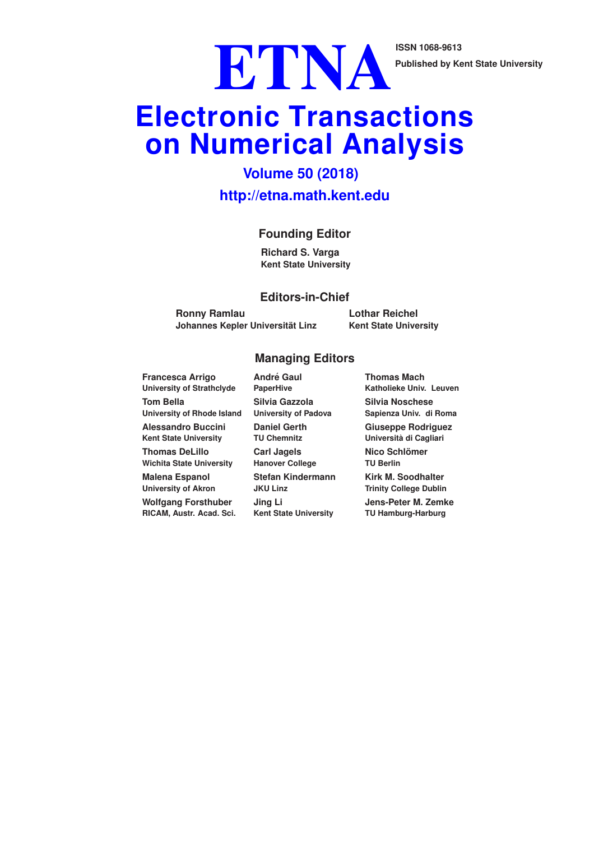**Published by Kent State University**

Published by Ke

# **Electronic Transactions on Numerical Analysis**

# **Volume 50 (2018) http://etna.math.kent.edu**

## **Founding Editor**

**Richard S. Varga Kent State University**

#### **Editors-in-Chief**

**Ronny Ramlau Johannes Kepler Universitat Linz ¨** **Lothar Reichel Kent State University**

#### **Managing Editors**

**Francesca Arrigo University of Strathclyde Tom Bella University of Rhode Island Alessandro Buccini Kent State University Thomas DeLillo Wichita State University Malena Espanol University of Akron**

**Wolfgang Forsthuber RICAM, Austr. Acad. Sci.**

**Andre Gaul ´ PaperHive Silvia Gazzola University of Padova Daniel Gerth TU Chemnitz Carl Jagels Hanover College Stefan Kindermann JKU Linz Jing Li Kent State University**

**Thomas Mach Katholieke Univ. Leuven Silvia Noschese Sapienza Univ. di Roma Giuseppe Rodriguez Universita di Cagliari ` Nico Schlomer ¨ TU Berlin Kirk M. Soodhalter Trinity College Dublin Jens-Peter M. Zemke TU Hamburg-Harburg**